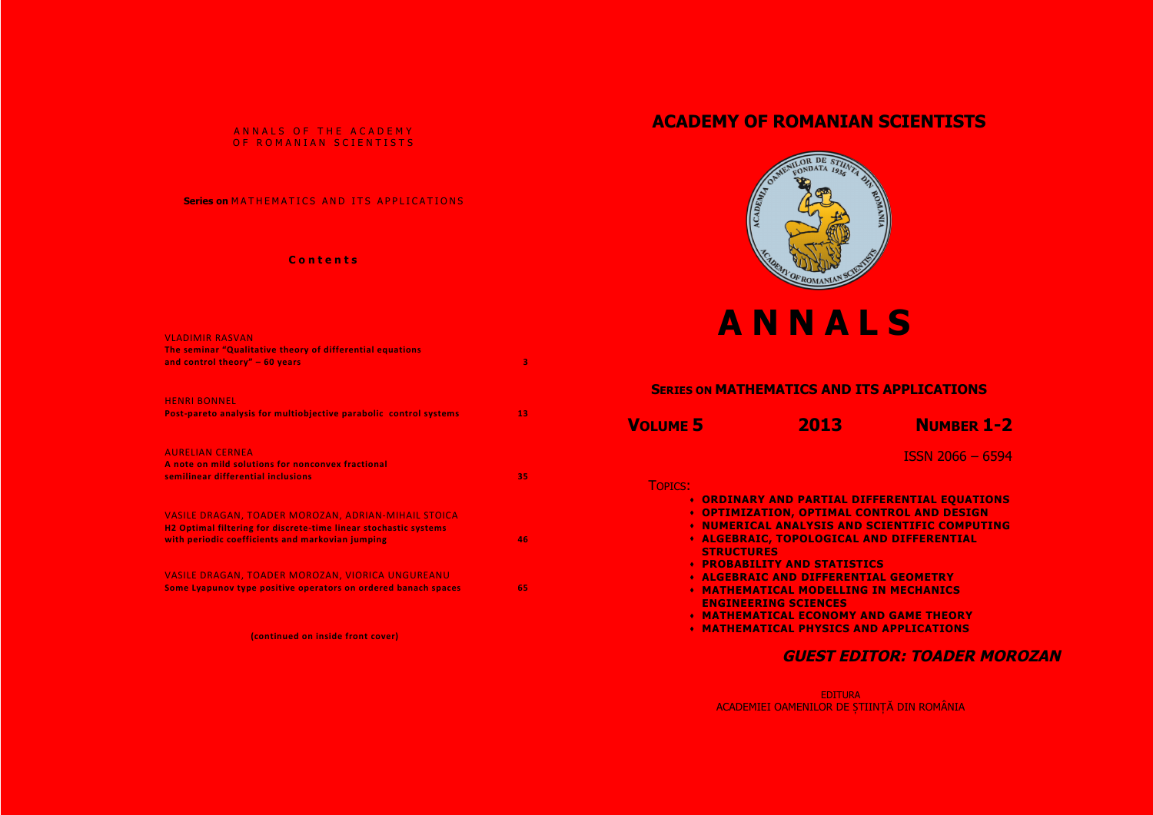### ANNALS OF THE ACADEMY OF ROMANIAN SCIENTISTS

### **Series on** MATHEMATICS AND ITS APPLICATIONS

### **C ontents**

| <b>VLADIMIR RASVAN</b><br>The seminar "Qualitative theory of differential equations<br>and control theory" $-60$ years | З  |
|------------------------------------------------------------------------------------------------------------------------|----|
| <b>HENRI BONNEL</b><br>Post-pareto analysis for multiobjective parabolic control systems                               | 13 |
| <b>AURELIAN CERNEA</b><br>A note on mild solutions for nonconvex fractional<br>semilinear differential inclusions      | 35 |

VASILE DRAGAN, TOADER MOROZAN, ADRIAN-MIHAIL STOICA **H2 Optimal filtering for discrete-time linear stochastic systems with periodic coefficients and markovian jumping <b>1999 1999 1999 1999 1999** 

VASILE DRAGAN, TOADER MOROZAN, VIORICA UNGUREANU **Some Lyapunov type positive operators on ordered banach spaces 65** 

**(continued on inside front cover)** 

# **ACADEMY OF ROMANIAN SCIENTISTS**



# **ANNALS**

| <b>SERIES ON MATHEMATICS AND ITS</b> |  |  |
|--------------------------------------|--|--|
|                                      |  |  |

| <b>VOLUME 5</b> |  |  |
|-----------------|--|--|
|                 |  |  |

**VOLUME 5 2013 NUMBER 1-2**

ISSN 2066 – 6594

**Y AND PARTIAL DIFFERENTIAL EQUATIONS** 

| TOPICS: |            |
|---------|------------|
|         | A ADDINADV |

- 
- ! **OPTIMIZATION, OPTIMAL CONTROL AND DESIGN**
- ! **NUMERICAL ANALYSIS AND SCIENTIFIC COMPUTING**
- ! **ALGEBRAIC, TOPOLOGICAL AND DIFFERENTIAL STRUCTURES**
- ! **PROBABILITY AND STATISTICS**
- ! **ALGEBRAIC AND DIFFERENTIAL GEOMETRY**
- ! **MATHEMATICAL MODELLING IN MECHANICS ENGINEERING SCIENCES**
- ! **MATHEMATICAL ECONOMY AND GAME THEORY**
- ! **MATHEMATICAL PHYSICS AND APPLICATIONS**

# **GUEST EDITOR: TOADER MOROZAN**

EDITURA ACADEMIEI OAMENILOR DE ȘTIINȚĂ DIN ROMÂNIA



## **SERIES APPLICATIONS**